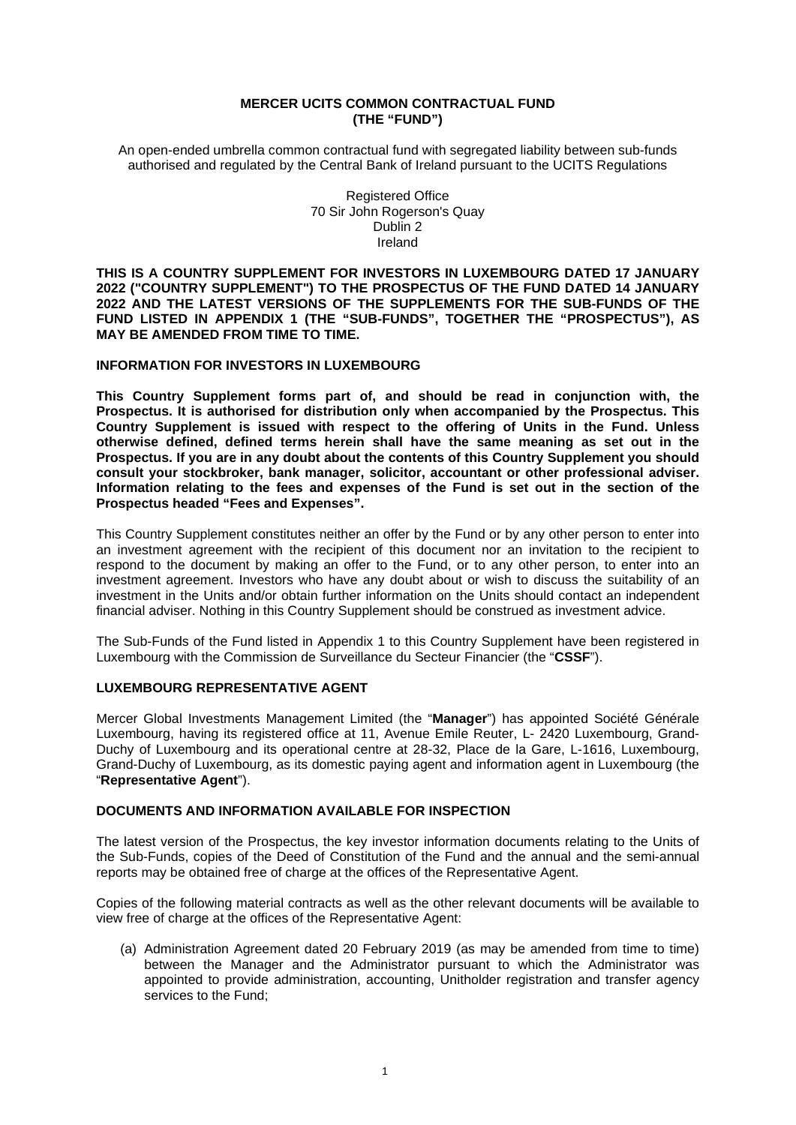#### **MERCER UCITS COMMON CONTRACTUAL FUND (THE "FUND")**

An open-ended umbrella common contractual fund with segregated liability between sub-funds authorised and regulated by the Central Bank of Ireland pursuant to the UCITS Regulations

> Registered Office 70 Sir John Rogerson's Quay Dublin 2 Ireland

**THIS IS A COUNTRY SUPPLEMENT FOR INVESTORS IN LUXEMBOURG DATED 17 JANUARY 2022 ("COUNTRY SUPPLEMENT") TO THE PROSPECTUS OF THE FUND DATED 14 JANUARY 2022 AND THE LATEST VERSIONS OF THE SUPPLEMENTS FOR THE SUB-FUNDS OF THE FUND LISTED IN APPENDIX 1 (THE "SUB-FUNDS", TOGETHER THE "PROSPECTUS"), AS MAY BE AMENDED FROM TIME TO TIME.** 

#### **INFORMATION FOR INVESTORS IN LUXEMBOURG**

**This Country Supplement forms part of, and should be read in conjunction with, the Prospectus. It is authorised for distribution only when accompanied by the Prospectus. This Country Supplement is issued with respect to the offering of Units in the Fund. Unless otherwise defined, defined terms herein shall have the same meaning as set out in the Prospectus. If you are in any doubt about the contents of this Country Supplement you should consult your stockbroker, bank manager, solicitor, accountant or other professional adviser. Information relating to the fees and expenses of the Fund is set out in the section of the Prospectus headed "Fees and Expenses".** 

This Country Supplement constitutes neither an offer by the Fund or by any other person to enter into an investment agreement with the recipient of this document nor an invitation to the recipient to respond to the document by making an offer to the Fund, or to any other person, to enter into an investment agreement. Investors who have any doubt about or wish to discuss the suitability of an investment in the Units and/or obtain further information on the Units should contact an independent financial adviser. Nothing in this Country Supplement should be construed as investment advice.

The Sub-Funds of the Fund listed in Appendix 1 to this Country Supplement have been registered in Luxembourg with the Commission de Surveillance du Secteur Financier (the "**CSSF**").

### **LUXEMBOURG REPRESENTATIVE AGENT**

Mercer Global Investments Management Limited (the "**Manager**") has appointed Société Générale Luxembourg, having its registered office at 11, Avenue Emile Reuter, L- 2420 Luxembourg, Grand-Duchy of Luxembourg and its operational centre at 28-32, Place de la Gare, L-1616, Luxembourg, Grand-Duchy of Luxembourg, as its domestic paying agent and information agent in Luxembourg (the "**Representative Agent**").

#### **DOCUMENTS AND INFORMATION AVAILABLE FOR INSPECTION**

The latest version of the Prospectus, the key investor information documents relating to the Units of the Sub-Funds, copies of the Deed of Constitution of the Fund and the annual and the semi-annual reports may be obtained free of charge at the offices of the Representative Agent.

Copies of the following material contracts as well as the other relevant documents will be available to view free of charge at the offices of the Representative Agent:

(a) Administration Agreement dated 20 February 2019 (as may be amended from time to time) between the Manager and the Administrator pursuant to which the Administrator was appointed to provide administration, accounting, Unitholder registration and transfer agency services to the Fund;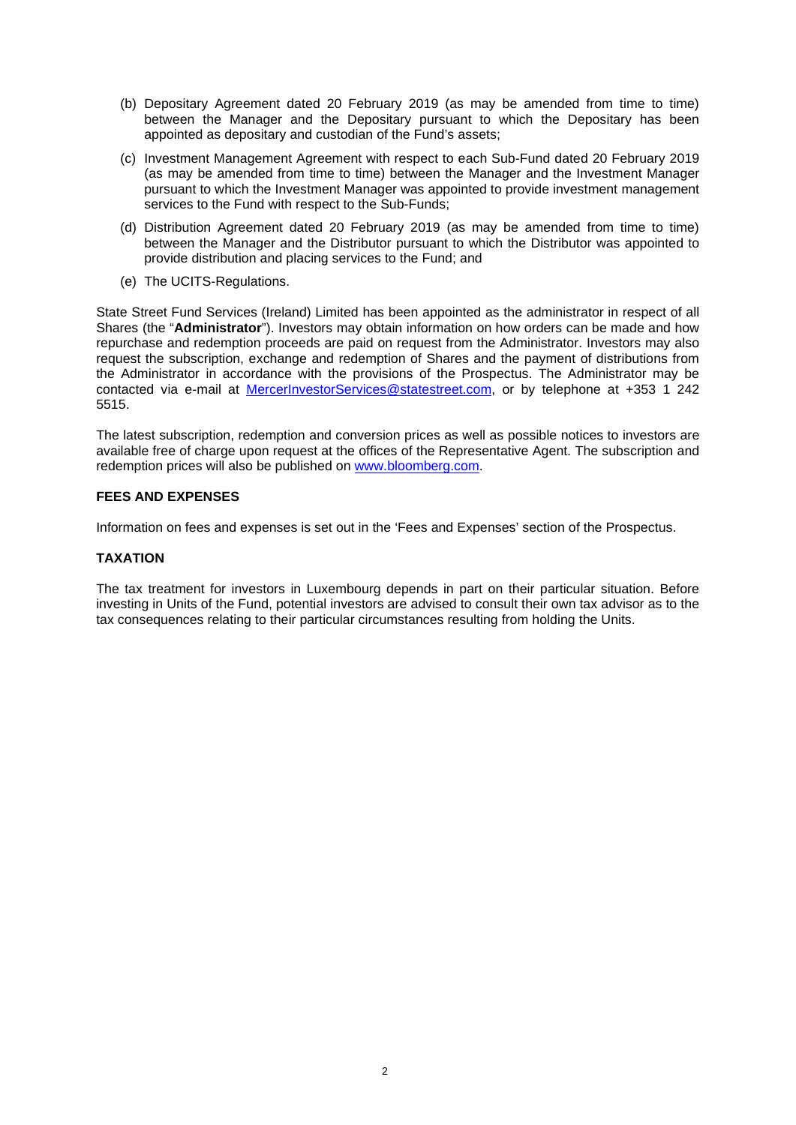- (b) Depositary Agreement dated 20 February 2019 (as may be amended from time to time) between the Manager and the Depositary pursuant to which the Depositary has been appointed as depositary and custodian of the Fund's assets;
- (c) Investment Management Agreement with respect to each Sub-Fund dated 20 February 2019 (as may be amended from time to time) between the Manager and the Investment Manager pursuant to which the Investment Manager was appointed to provide investment management services to the Fund with respect to the Sub-Funds;
- (d) Distribution Agreement dated 20 February 2019 (as may be amended from time to time) between the Manager and the Distributor pursuant to which the Distributor was appointed to provide distribution and placing services to the Fund; and
- (e) The UCITS-Regulations.

State Street Fund Services (Ireland) Limited has been appointed as the administrator in respect of all Shares (the "**Administrator**"). Investors may obtain information on how orders can be made and how repurchase and redemption proceeds are paid on request from the Administrator. Investors may also request the subscription, exchange and redemption of Shares and the payment of distributions from the Administrator in accordance with the provisions of the Prospectus. The Administrator may be contacted via e-mail at [MercerInvestorServices@statestreet.com,](mailto:MercerInvestorServices@statestreet.com) or by telephone at +353 1 242 5515.

The latest subscription, redemption and conversion prices as well as possible notices to investors are available free of charge upon request at the offices of the Representative Agent. The subscription and redemption prices will also be published on [www.bloomberg.com.](http://www.bloomberg.com/)

## **FEES AND EXPENSES**

Information on fees and expenses is set out in the 'Fees and Expenses' section of the Prospectus.

#### **TAXATION**

The tax treatment for investors in Luxembourg depends in part on their particular situation. Before investing in Units of the Fund, potential investors are advised to consult their own tax advisor as to the tax consequences relating to their particular circumstances resulting from holding the Units.